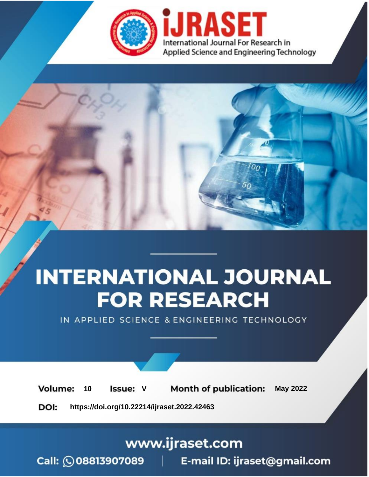

# **INTERNATIONAL JOURNAL FOR RESEARCH**

IN APPLIED SCIENCE & ENGINEERING TECHNOLOGY

Volume: **Month of publication: May 2022** 10 **Issue: V** 

DOI: https://doi.org/10.22214/ijraset.2022.42463

www.ijraset.com

Call: 008813907089 | E-mail ID: ijraset@gmail.com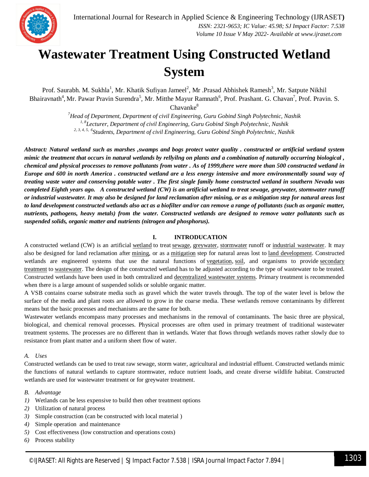

### **Wastewater Treatment Using Constructed Wetland System**

Prof. Saurabh. M. Sukhla<sup>1</sup>, Mr. Khatik Sufiyan Jameel<sup>2</sup>, Mr .Prasad Abhishek Ramesh<sup>3</sup>, Mr. Satpute Nikhil Bhairavnath<sup>4</sup>, Mr. Pawar Pravin Surendra<sup>5</sup>, Mr. Mitthe Mayur Ramnath<sup>6</sup>, Prof. Prashant. G. Chavan<sup>7</sup>, Prof. Pravin. S.  $Chavanke<sup>8</sup>$ 

> *<sup>7</sup>Head of Department, Department of civil Engineering, Guru Gobind Singh Polytechnic, Nashik 1, 8Lecturer, Department of civil Engineering, Guru Gobind Singh Polytechnic, Nashik 2, 3, 4, 5, 6 Students, Department of civil Engineering, Guru Gobind Singh Polytechnic, Nashik*

*Abstract: Natural wetland such as marshes ,swamps and bogs protect water quality . constructed or artificial wetland system mimic the treatment that occurs in natural wetlands by rellyilng on plants and a combination of naturally occurring biological , chemical and physical processes to remove pollutants from water . As of 1999,there were more than 500 constructed wetland in Europe and 600 in north America . constructed wetland are a less energy intensive and more environmentally sound way of treating waste water and conserving potable water . The first single family home constructed wetland in southern Nevada was completed Eighth years ago. A constructed wetland (CW) is an artificial wetland to treat sewage, greywater, stormwater runoff or industrial wastewater. It may also be designed for land reclamation after mining, or as a mitigation step for natural areas lost to land development constructed wetlands also act as a biofilter and/or can remove a range of pollutants (such as organic matter, nutrients, pathogens, heavy metals) from the water. Constructed wetlands are designed to remove water pollutants such as suspended solids, organic matter and nutrients (nitrogen and phosphorus).* 

#### **I. INTRODUCATION**

A constructed wetland (CW) is an artificial wetland to treat sewage, greywater, stormwater runoff or industrial wastewater. It may also be designed for land reclamation after mining, or as a mitigation step for natural areas lost to land development. Constructed wetlands are engineered systems that use the natural functions of vegetation, soil, and organisms to provide secondary treatment to wastewater. The design of the constructed wetland has to be adjusted according to the type of wastewater to be treated. Constructed wetlands have been used in both centralized and decentralized wastewater systems. Primary treatment is recommended when there is a large amount of suspended solids or soluble organic matter.

A VSB contains coarse substrate media such as gravel which the water travels through. The top of the water level is below the surface of the media and plant roots are allowed to grow in the coarse media. These wetlands remove contaminants by different means but the basic processes and mechanisms are the same for both.

Wastewater wetlands encompass many processes and mechanisms in the removal of contaminants. The basic three are physical, biological, and chemical removal processes. Physical processes are often used in primary treatment of traditional wastewater treatment systems. The processes are no different than in wetlands. Water that flows through wetlands moves rather slowly due to resistance from plant matter and a uniform sheet flow of water.

#### *A. Uses*

Constructed wetlands can be used to treat raw sewage, storm water, agricultural and industrial effluent. Constructed wetlands mimic the functions of natural wetlands to capture stormwater, reduce nutrient loads, and create diverse wildlife habitat. Constructed wetlands are used for wastewater treatment or for greywater treatment.

- *B. Advantage*
- *1)* Wetlands can be less expensive to build then other treatment options
- *2)* Utilization of natural process
- *3)* Simple construction (can be constructed with local material )
- *4)* Simple operation and maintenance
- *5)* Cost effectiveness (low construction and operations costs)
- *6)* Process stability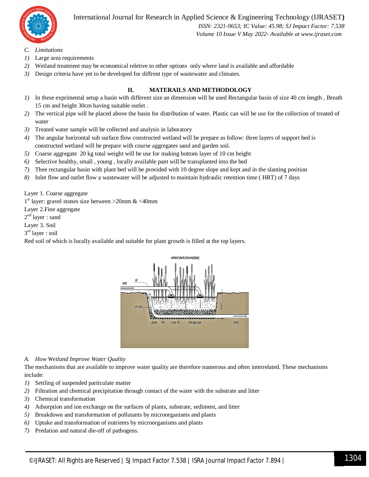

International Journal for Research in Applied Science & Engineering Technology (IJRASET**)**

 *ISSN: 2321-9653; IC Value: 45.98; SJ Impact Factor: 7.538 Volume 10 Issue V May 2022- Available at www.ijraset.com*

- *C. Limitations*
- *1)* Large area requirements
- *2)* Wetland treatment may be economical reletive to other options only where land is available and affordable
- *3)* Design criteria have yet to be developed for diffrent type of wastewater and climates.

#### **II. MATERAILS AND METHODOLOGY**

- *1)* In these exprimental setup a basin with different size an dimension will be used Rectangular basin of size 40 cm length , Breath 15 cm and height 30cm having suitable outlet .
- *2)* The vertical pipe will be placed above the basin for distribution of water. Plastic can will be use for the collection of treated of water
- *3)* Treated water sample will be collected and analysis in laboratory
- *4)* The angular horizontal sub surface flow constructed wetland will be prepare as follow: three layers of support bed is constructed wetland will be prepare with course aggregates sand and garden soil.
- *5)* Coarse aggregate 20 kg total weight will be use for making bottom layer of 10 cm height
- *6)* Selective healthy, small , young , locally available pant will be transplanted into the bed
- *7)* Thee rectangular basin with plant bed will be provided with 10 degree slope and kept and in the slanting position
- *8)* Inlet flow and outlet flow a wastewater will be adjusted to maintain hydraulic retention time ( HRT) of 7 days

Layer 1. Coarse aggregate

1 st layer: gravel stones size between >20mm & <40mm

Layer 2.Fine aggregate

2<sup>nd</sup> layer : sand

Layer 3. Soil

3 rd layer : soil

Red soil of which is locally available and suitable for plant growth is filled at the top layers.



#### *A. How Wetland Improve Water Quality*

The mechanisms that are available to improve water quality are therefore numerous and often interrelated. These mechanisms include:

- *1)* Settling of suspended particulate matter
- *2)* Filtration and chemical precipitation through contact of the water with the substrate and litter
- *3)* Chemical transformation
- *4)* Adsorption and ion exchange on the surfaces of plants, substrate, sediment, and litter
- *5)* Breakdown and transformation of pollutants by microorganisms and plants
- *6)* Uptake and transformation of nutrients by microorganisms and plants
- *7)* Predation and natural die-off of pathogens.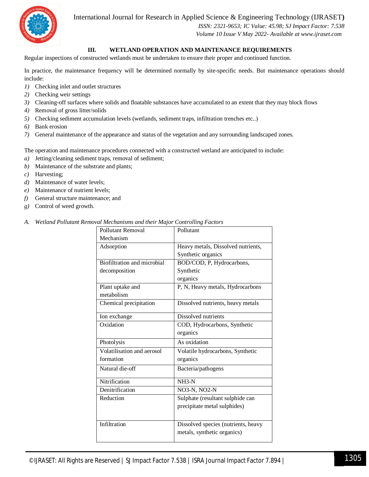International Journal for Research in Applied Science & Engineering Technology (IJRASET**)**



 *ISSN: 2321-9653; IC Value: 45.98; SJ Impact Factor: 7.538 Volume 10 Issue V May 2022- Available at www.ijraset.com*

#### **III. WETLAND OPERATION AND MAINTENANCE REQUIREMENTS**

Regular inspections of constructed wetlands must be undertaken to ensure their proper and continued function.

In practice, the maintenance frequency will be determined normally by site-specific needs. But maintenance operations should include:

- *1)* Checking inlet and outlet structures
- *2)* Checking weir settings
- *3)* Cleaning-off surfaces where solids and floatable substances have accumulated to an extent that they may block flows
- *4)* Removal of gross litter/solids
- *5)* Checking sediment accumulation levels (wetlands, sediment traps, infiltration trenches etc..)
- *6)* Bank erosion
- *7)* General maintenance of the appearance and status of the vegetation and any surrounding landscaped zones.

The operation and maintenance procedures connected with a constructed wetland are anticipated to include:

- *a)* Jetting/cleaning sediment traps, removal of sediment;
- *b)* Maintenance of the substrate and plants;
- *c)* Harvesting;
- *d)* Maintenance of water levels;
- *e)* Maintenance of nutrient levels;
- *f)* General structure maintenance; and
- *g)* Control of weed growth.

*A. Wetland Pollutant Removal Mechanisms and their Major Controlling Factors* 

| <b>Pollutant Removal</b>           | Pollutant                           |
|------------------------------------|-------------------------------------|
| Mechanism                          |                                     |
| Adsorption                         | Heavy metals, Dissolved nutrients,  |
|                                    | Synthetic organics                  |
| <b>Biofiltration and microbial</b> | BOD/COD, P, Hydrocarbons,           |
| decomposition                      | Synthetic                           |
|                                    | organics                            |
| Plant uptake and                   | P, N, Heavy metals, Hydrocarbons    |
| metabolism                         |                                     |
| Chemical precipitation             | Dissolved nutrients, heavy metals   |
| Ion exchange                       | Dissolved nutrients                 |
| Oxidation                          | COD, Hydrocarbons, Synthetic        |
|                                    | organics                            |
|                                    |                                     |
| Photolysis                         | As oxidation                        |
| Volatilisation and aerosol         | Volatile hydrocarbons, Synthetic    |
| formation                          | organics                            |
| Natural die-off                    | Bacteria/pathogens                  |
|                                    |                                     |
| Nitrification                      | $NH3-N$                             |
| Denitrification                    | NO3-N, NO2-N                        |
| Reduction                          | Sulphate (resultant sulphide can    |
|                                    | precipitate metal sulphides)        |
|                                    |                                     |
| Infiltration                       | Dissolved species (nutrients, heavy |
|                                    | metals, synthetic organics)         |
|                                    |                                     |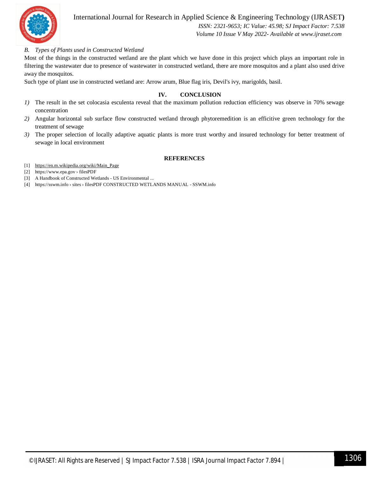

International Journal for Research in Applied Science & Engineering Technology (IJRASET**)**

 *ISSN: 2321-9653; IC Value: 45.98; SJ Impact Factor: 7.538 Volume 10 Issue V May 2022- Available at www.ijraset.com*

#### *B. Types of Plants used in Constructed Wetland*

Most of the things in the constructed wetland are the plant which we have done in this project which plays an important role in filtering the wastewater due to presence of wastewater in constructed wetland, there are more mosquitos and a plant also used drive away the mosquitos.

Such type of plant use in constructed wetland are: Arrow arum, Blue flag iris, Devil's ivy, marigolds, basil.

#### **IV. CONCLUSION**

- *1)* The result in the set colocasia esculenta reveal that the maximum pollution reduction efficiency was observe in 70% sewage concentration
- *2)* Angular horizontal sub surface flow constructed wetland through phytoremedition is an efficitive green technology for the treatment of sewage
- *3)* The proper selection of locally adaptive aquatic plants is more trust worthy and insured technology for better treatment of sewage in local environment

#### **REFERENCES**

- [1] https://en.m.wikipedia.org/wiki/Main\_Page
- [2] https://www.epa.gov › filesPDF
- [3] A Handbook of Constructed Wetlands US Environmental ...
- [4] https://sswm.info › sites › filesPDF CONSTRUCTED WETLANDS MANUAL SSWM.info